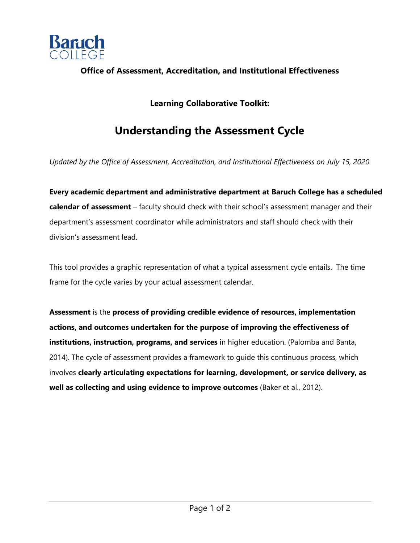

## **Office of Assessment, Accreditation, and Institutional Effectiveness**

## **Learning Collaborative Toolkit:**

## **Understanding the Assessment Cycle**

*Updated by the Office of Assessment, Accreditation, and Institutional Effectiveness on July 15, 2020.* 

**Every academic department and administrative department at Baruch College has a scheduled calendar of assessment** – faculty should check with their school's assessment manager and their department's assessment coordinator while administrators and staff should check with their division's assessment lead.

This tool provides a graphic representation of what a typical assessment cycle entails. The time frame for the cycle varies by your actual assessment calendar.

**Assessment** is the **process of providing credible evidence of resources, implementation actions, and outcomes undertaken for the purpose of improving the effectiveness of institutions, instruction, programs, and services** in higher education. (Palomba and Banta, 2014). The cycle of assessment provides a framework to guide this continuous process, which involves **clearly articulating expectations for learning, development, or service delivery, as well as collecting and using evidence to improve outcomes** (Baker et al., 2012).